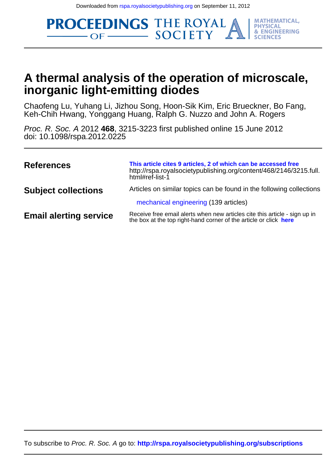**PROCEEDINGS THE ROYAL** 



**MATHEMATICAL, PHYSICAL & ENGINEERING** 

# **inorganic light-emitting diodes A thermal analysis of the operation of microscale,**

Keh-Chih Hwang, Yonggang Huang, Ralph G. Nuzzo and John A. Rogers Chaofeng Lu, Yuhang Li, Jizhou Song, Hoon-Sik Kim, Eric Brueckner, Bo Fang,

doi: 10.1098/rspa.2012.0225 Proc. R. Soc. A 2012 **468**, 3215-3223 first published online 15 June 2012

| <b>References</b>             | This article cites 9 articles, 2 of which can be accessed free<br>http://rspa.royalsocietypublishing.org/content/468/2146/3215.full.<br>html#ref-list-1 |
|-------------------------------|---------------------------------------------------------------------------------------------------------------------------------------------------------|
| <b>Subject collections</b>    | Articles on similar topics can be found in the following collections                                                                                    |
|                               | mechanical engineering (139 articles)                                                                                                                   |
| <b>Email alerting service</b> | Receive free email alerts when new articles cite this article - sign up in<br>the box at the top right-hand corner of the article or click here         |

To subscribe to Proc. R. Soc. A go to: **<http://rspa.royalsocietypublishing.org/subscriptions>**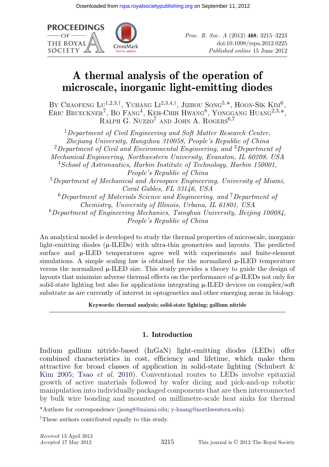

# **A thermal analysis of the operation of microscale, inorganic light-emitting diodes**

BY CHAOFENG  $\mathrm{L}v^{1,2,3,\dagger}$ , Yuhang  $\mathrm{L}t^{2,3,4,\dagger}$ , Jizhou Song<sup>5,\*</sup>, Hoon-Sik Kim<sup>6</sup>, ERIC BRUECKNER<sup>7</sup>, BO FANG<sup>4</sup>, KEH-CHIH HWANG<sup>8</sup>, YONGGANG HUANG<sup>2,3,\*</sup>, RALPH G. NUZZO<sup>7</sup> AND JOHN A. ROGERS<sup>6,7</sup>

<sup>1</sup>*Department of Civil Engineering and Soft Matter Research Center, Zhejiang University, Hangzhou 310058, People's Republic of China* <sup>2</sup>*Department of Civil and Environmental Engineering, and* <sup>3</sup>*Department of Mechanical Engineering, Northwestern University, Evanston, IL 60208, USA* <sup>4</sup>*School of Astronautics, Harbin Institute of Technology, Harbin 150001, People's Republic of China* <sup>5</sup>*Department of Mechanical and Aerospace Engineering, University of Miami, Coral Gables, FL 33146, USA* <sup>6</sup>*Department of Materials Science and Engineering, and* <sup>7</sup>*Department of Chemistry, University of Illinois, Urbana, IL 61801, USA* <sup>8</sup>*Department of Engineering Mechanics, Tsinghua University, Beijing 100084, People's Republic of China*

An analytical model is developed to study the thermal properties of microscale, inorganic light-emitting diodes  $(\mu$ -ILEDs) with ultra-thin geometries and layouts. The predicted surface and  $\mu$ -ILED temperatures agree well with experiments and finite-element simulations. A simple scaling law is obtained for the normalized  $\mu$ -ILED temperature versus the normalized  $\mu$ -ILED size. This study provides a theory to guide the design of layouts that minimize adverse thermal effects on the performance of  $\mu$ -ILEDs not only for solid-state lighting but also for applications integrating  $\mu$ -ILED devices on complex/soft substrate as are currently of interest in optogenetics and other emerging areas in biology.

**Keywords: thermal analysis; solid-state lighting; gallium nitride**

# **1. Introduction**

Indium gallium nitride-based (InGaN) light-emitting diodes (LEDs) offer combined characteristics in cost, efficiency and lifetime, which make them attractive for broad classes of application in solid-state lighting [\(Schubert &](#page-9-0) [Kim 2005;](#page-9-0) Tsao *et al.* [2010\).](#page-9-0) Conventional routes to LEDs involve epitaxial growth of active materials followed by wafer dicing and pick-and-up robotic manipulation into individually packaged components that are then interconnected by bulk wire bonding and mounted on millimetre-scale heat sinks for thermal

\*Authors for correspondence [\(jsong8@miami.edu; y-huang@northwestern.edu\)](mailto:jsong8@miami.edu; y-huang@northwestern.edu).

†These authors contributed equally to this study.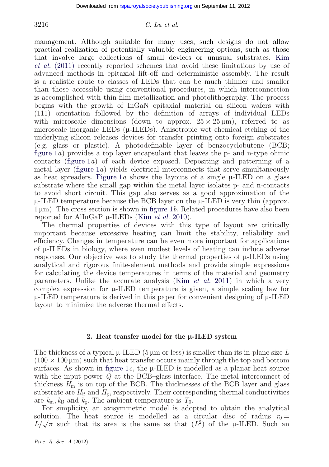## 3216 *C. Lu et al.*

management. Although suitable for many uses, such designs do not allow practical realization of potentially valuable engineering options, such as those that involve large collections of small devices or unusual substrates. [Kim](#page-9-0) *et al.* [\(2011\)](#page-9-0) recently reported schemes that avoid these limitations by use of advanced methods in epitaxial lift-off and deterministic assembly. The result is a realistic route to classes of LEDs that can be much thinner and smaller than those accessible using conventional procedures, in which interconnection is accomplished with thin-film metallization and photolithography. The process begins with the growth of InGaN epitaxial material on silicon wafers with (111) orientation followed by the definition of arrays of individual LEDs with microscale dimensions (down to approx.  $25 \times 25 \mu m$ ), referred to as microscale inorganic LEDs  $(\mu$ -ILEDs). Anisotropic wet chemical etching of the underlying silicon releases devices for transfer printing onto foreign substrates (e.g. glass or plastic). A photodefinable layer of benzocyclobutene (BCB; [figure 1](#page-3-0)*a*) provides a top layer encapsulant that leaves the p- and n-type ohmic contacts [\(figure 1](#page-3-0)*a*) of each device exposed. Depositing and patterning of a metal layer [\(figure 1](#page-3-0)*a*) yields electrical interconnects that serve simultaneously as heat spreaders. Figure  $1a$  shows the layouts of a single  $\mu$ -ILED on a glass substrate where the small gap within the metal layer isolates p- and n-contacts to avoid short circuit. This gap also serves as a good approximation of the  $\mu$ -ILED temperature because the BCB layer on the  $\mu$ -ILED is very thin (approx. 1  $\mu$ m). The cross section is shown in [figure 1](#page-3-0)*b*. Related procedures have also been reported for AlInGaP μ-ILEDs (Kim *[et al.](#page-9-0)* 2010).

The thermal properties of devices with this type of layout are critically important because excessive heating can limit the stability, reliability and efficiency. Changes in temperature can be even more important for applications of  $\mu$ -ILEDs in biology, where even modest levels of heating can induce adverse responses. Our objective was to study the thermal properties of  $\mu$ -ILEDs using analytical and rigorous finite-element methods and provide simple expressions for calculating the device temperatures in terms of the material and geometry parameters. Unlike the accurate analysis (Kim *[et al.](#page-9-0)* 2011) in which a very complex expression for  $\mu$ -ILED temperature is given, a simple scaling law for  $\mu$ -ILED temperature is derived in this paper for convenient designing of  $\mu$ -ILED layout to minimize the adverse thermal effects.

#### 2. Heat transfer model for the  $\mu$ -ILED system

The thickness of a typical  $\mu$ -ILED (5  $\mu$ m or less) is smaller than its in-plane size L  $(100 \times 100 \,\mathrm{\upmu m})$  such that heat transfer occurs mainly through the top and bottom surfaces. As shown in figure  $1c$ , the  $\mu$ -ILED is modelled as a planar heat source with the input power *Q* at the BCB–glass interface. The metal interconnect of thickness  $H<sub>m</sub>$  is on top of the BCB. The thicknesses of the BCB layer and glass substrate are  $H_B$  and  $H_g$ , respectively. Their corresponding thermal conductivities are  $k_m$ ,  $k_B$  and  $k_g$ . The ambient temperature is  $T_0$ .

For simplicity, an axisymmetric model is adopted to obtain the analytical solution. The heat source is modelled as a circular disc of radius  $r_0 =$ solution. The heat source is modelled as a circular disc of radius  $r_0 = L/\sqrt{\pi}$  such that its area is the same as that  $(L^2)$  of the  $\mu$ -ILED. Such an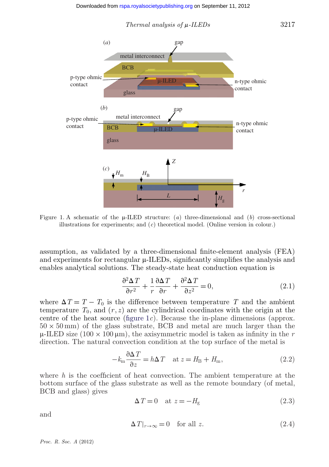

<span id="page-3-0"></span>

Figure 1. A schematic of the  $\mu$ -ILED structure: (*a*) three-dimensional and (*b*) cross-sectional illustrations for experiments; and (*c*) theoretical model. (Online version in colour.)

assumption, as validated by a three-dimensional finite-element analysis (FEA) and experiments for rectangular  $\mu$ -ILEDs, significantly simplifies the analysis and enables analytical solutions. The steady-state heat conduction equation is

$$
\frac{\partial^2 \Delta T}{\partial r^2} + \frac{1}{r} \frac{\partial \Delta T}{\partial r} + \frac{\partial^2 \Delta T}{\partial z^2} = 0,
$$
\n(2.1)

where  $\Delta T = T - T_0$  is the difference between temperature T and the ambient temperature  $T_0$ , and  $(r, z)$  are the cylindrical coordinates with the origin at the centre of the heat source (figure 1*c*). Because the in-plane dimensions (approx.  $50 \times 50 \text{ mm}$ ) of the glass substrate, BCB and metal are much larger than the  $\mu$ -ILED size (100  $\times$  100  $\mu$ m), the axisymmetric model is taken as infinity in the r direction. The natural convection condition at the top surface of the metal is

$$
-k_{\rm m} \frac{\partial \Delta T}{\partial z} = h \Delta T \quad \text{at } z = H_{\rm B} + H_{\rm m}, \tag{2.2}
$$

where *h* is the coefficient of heat convection. The ambient temperature at the bottom surface of the glass substrate as well as the remote boundary (of metal, BCB and glass) gives

$$
\Delta T = 0 \quad \text{at } z = -H_{\text{g}} \tag{2.3}
$$

and

$$
\Delta T|_{r \to \infty} = 0 \quad \text{for all } z. \tag{2.4}
$$

*Proc. R. Soc. A* (2012)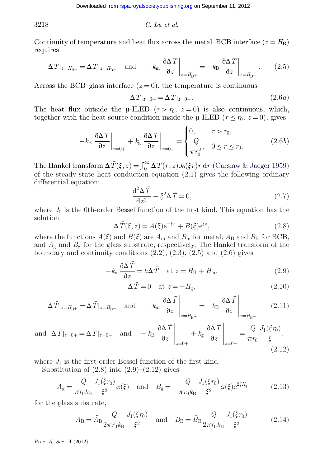3218 *C. Lu et al.*

Continuity of temperature and heat flux across the metal–BCB interface  $(z = H_B)$ requires

$$
\Delta T|_{z=H_{\rm B^{+}}} = \Delta T|_{z=H_{\rm B^{-}}} \quad \text{and} \quad -k_{\rm m} \left. \frac{\partial \Delta T}{\partial z} \right|_{z=H_{\rm B^{+}}} = -k_{\rm B} \left. \frac{\partial \Delta T}{\partial z} \right|_{z=H_{\rm B^{-}}} \,. \tag{2.5}
$$

Across the BCB–glass interface  $(z=0)$ , the temperature is continuous

$$
\Delta T|_{z=0+} = \Delta T|_{z=0-}.\tag{2.6a}
$$

The heat flux outside the  $\mu$ -ILED ( $r > r_0$ ,  $z = 0$ ) is also continuous, which, together with the heat source condition inside the  $\mu$ -ILED ( $r \le r_0$ ,  $z = 0$ ), gives

$$
-k_{\rm B} \left. \frac{\partial \Delta T}{\partial z} \right|_{z=0+} + k_{\rm g} \left. \frac{\partial \Delta T}{\partial z} \right|_{z=0-} = \begin{cases} 0, & r > r_0, \\ \frac{Q}{\pi r_0^2}, & 0 \le r \le r_0. \end{cases} \tag{2.6b}
$$

The Hankel transform  $\Delta \bar{T}(\xi, z) = \int_0^\infty \Delta T(r, z) J_0(\xi r) r dr$  [\(Carslaw & Jaeger 1959\)](#page-9-0) of the steady-state heat conduction equation (2.1) gives the following ordinary differential equation:

$$
\frac{\mathrm{d}^2 \Delta \bar{T}}{\mathrm{d} z^2} - \xi^2 \Delta \bar{T} = 0,\tag{2.7}
$$

where  $J_0$  is the 0th-order Bessel function of the first kind. This equation has the solution

$$
\Delta \bar{T}(\xi, z) = A(\xi) e^{-\xi z} + B(\xi) e^{\xi z},\tag{2.8}
$$

where the functions  $A(\xi)$  and  $B(\xi)$  are  $A_m$  and  $B_m$  for metal,  $A_B$  and  $B_B$  for BCB, and  $A_{\rm g}$  and  $B_{\rm g}$  for the glass substrate, respectively. The Hankel transform of the boundary and continuity conditions  $(2.2)$ ,  $(2.3)$ ,  $(2.5)$  and  $(2.6)$  gives

$$
-k_{\rm m} \frac{\partial \Delta \bar{T}}{\partial z} = h \Delta \bar{T} \quad \text{at } z = H_{\rm B} + H_{\rm m}, \tag{2.9}
$$

$$
\Delta \bar{T} = 0 \quad \text{at } z = -H_{\text{g}},\tag{2.10}
$$

$$
\Delta \bar{T}|_{z=H_{\rm B}+} = \Delta \bar{T}|_{z=H_{\rm B}-} \quad \text{and} \quad -k_{\rm m} \left. \frac{\partial \Delta \bar{T}}{\partial z} \right|_{z=H_{\rm B}+} = -k_{\rm B} \left. \frac{\partial \Delta \bar{T}}{\partial z} \right|_{z=H_{\rm B}-} \tag{2.11}
$$

and 
$$
\Delta \bar{T}|_{z=0+} = \Delta \bar{T}|_{z=0-}
$$
 and  $-k_B \frac{\partial \Delta \bar{T}}{\partial z}\Big|_{z=0+} + k_g \frac{\partial \Delta \bar{T}}{\partial z}\Big|_{z=0-} = \frac{Q}{\pi r_0} \frac{J_1(\xi r_0)}{\xi},$  (2.12)

where  $J_1$  is the first-order Bessel function of the first kind.

Substitution of  $(2.8)$  into  $(2.9)$ – $(2.12)$  gives

$$
A_{\rm g} = \frac{Q}{\pi r_0 k_{\rm B}} \frac{J_1(\xi r_0)}{\xi^2} \alpha(\xi) \quad \text{and} \quad B_{\rm g} = -\frac{Q}{\pi r_0 k_{\rm B}} \frac{J_1(\xi r_0)}{\xi^2} \alpha(\xi) e^{2\xi H_{\rm g}} \tag{2.13}
$$

for the glass substrate,

$$
A_{\rm B} = \bar{A}_{\rm B} \frac{Q}{2\pi r_0 k_{\rm B}} \frac{J_1(\xi r_0)}{\xi^2} \quad \text{and} \quad B_{\rm B} = \bar{B}_{\rm B} \frac{Q}{2\pi r_0 k_{\rm B}} \frac{J_1(\xi r_0)}{\xi^2} \tag{2.14}
$$

*Proc. R. Soc. A* (2012)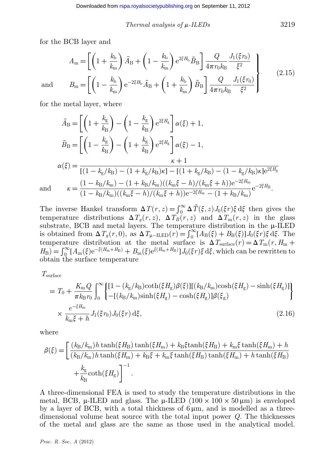*Thermal analysis of*  $\mu$ *-ILEDs* 3219

for the BCB layer and

$$
A_{\rm m} = \left[ \left( 1 + \frac{k_{\rm b}}{k_{\rm m}} \right) \bar{A}_{\rm B} + \left( 1 - \frac{k_{\rm b}}{k_{\rm m}} \right) e^{2\xi H_{\rm b}} \bar{B}_{\rm B} \right] \frac{Q}{4\pi r_0 k_{\rm B}} \frac{J_1(\xi r_0)}{\xi^2} B_{\rm m} = \left[ \left( 1 - \frac{k_{\rm b}}{k_{\rm m}} \right) e^{-2\xi H_{\rm b}} \bar{A}_{\rm B} + \left( 1 + \frac{k_{\rm b}}{k_{\rm m}} \right) \bar{B}_{\rm B} \right] \frac{Q}{4\pi r_0 k_{\rm B}} \frac{J_1(\xi r_0)}{\xi^2}
$$
(2.15)

and

for the metal layer, where

$$
\bar{A}_{\rm B} = \left[ \left( 1 + \frac{k_{\rm g}}{k_{\rm B}} \right) - \left( 1 - \frac{k_{\rm g}}{k_{\rm B}} \right) e^{2\xi H_{\rm g}} \right] \alpha(\xi) + 1,
$$
\n
$$
\bar{B}_{\rm B} = \left[ \left( 1 - \frac{k_{\rm g}}{k_{\rm B}} \right) - \left( 1 + \frac{k_{\rm g}}{k_{\rm B}} \right) e^{2\xi H_{\rm g}} \right] \alpha(\xi) - 1,
$$
\n
$$
\alpha(\xi) = \frac{\kappa + 1}{\left[ (1 - k_{\rm g}/k_{\rm B}) - (1 + k_{\rm g}/k_{\rm B})\kappa \right] - \left[ (1 + k_{\rm g}/k_{\rm B}) - (1 - k_{\rm g}/k_{\rm B})\kappa \right] e^{2\xi H_{\rm g}}}
$$
\nand\n
$$
\kappa = \frac{(1 - k_{\rm B}/k_{\rm m}) - (1 + k_{\rm B}/k_{\rm m})((k_{\rm m}\xi - h)/(k_{\rm m}\xi + h))e^{-2\xi H_{\rm m}} - (1 + k_{\rm B}/k_{\rm m})}{(1 - k_{\rm B}/k_{\rm m})((k_{\rm m}\xi - h)/(k_{\rm m}\xi + h))e^{-2\xi H_{\rm m}} - (1 + k_{\rm B}/k_{\rm m})} e^{-2\xi H_{\rm B}}.
$$

The inverse Hankel transform  $\Delta T(r, z) = \int_0^\infty \Delta \bar{T}(\xi, z) J_0(\xi r) \xi d\xi$  then gives the temperature distributions  $\Delta T_g(r, z)$ ,  $\Delta T_B(r, z)$  and  $\Delta T_m(r, z)$  in the glass substrate, BCB and metal layers. The temperature distribution in the  $\mu$ -ILED is obtained from  $\Delta T_g(r, 0)$ , as  $\Delta T_{\mu-\text{LED}}(r) = \int_0^\infty [A_\text{B}(\xi) + B_\text{B}(\xi)] J_0(\xi r) \xi \,d\xi$ . The temperature distribution at the metal surface is  $\Delta T_{\text{surface}}(r) = \Delta T_{\text{m}}(r, H_{\text{m}} +$  $H_{\rm B}$ ) =  $\int_0^\infty [A_{\rm m}(\xi)e^{-\xi(H_{\rm m}+H_{\rm B})}+B_{\rm m}(\xi)e^{\xi(H_{\rm m}+H_{\rm B})}]J_0(\xi r)\xi d\xi$ , which can be rewritten to obtain the surface temperature

*T*surface

$$
= T_0 + \frac{K_{\rm m}Q}{\pi k_{\rm B}r_0} \int_0^\infty \left\{ \frac{[1 - (k_{\rm g}/k_{\rm B})\coth(\xi H_{\rm g})\beta(\xi)][(k_{\rm B}/k_{\rm m})\cosh(\xi H_{\rm g}) - \sinh(\xi H_{\rm g})]}{-(k_{\rm B}/k_{\rm m})\sinh(\xi H_{\rm g}) - \cosh(\xi H_{\rm g})]\beta(\xi_{\rm g})} \right\}
$$
  
 
$$
\times \frac{e^{-\xi H_{\rm m}}}{k_{\rm m}\xi + h} J_1(\xi r_0) J_0(\xi r) d\xi, \qquad (2.16)
$$

where

$$
\beta(\xi) = \left[ \frac{(k_{\rm B}/k_{\rm m})h \tanh(\xi H_{\rm B}) \tanh(\xi H_{\rm m}) + k_{\rm B}\xi \tanh(\xi H_{\rm B}) + k_{\rm m}\xi \tanh(\xi H_{\rm m}) + h}{(k_{\rm B}/k_{\rm m})h \tanh(\xi H_{\rm m}) + k_{\rm B}\xi + k_{\rm m}\xi \tanh(\xi H_{\rm B}) \tanh(\xi H_{\rm m}) + h \tanh(\xi H_{\rm B})} + \frac{k_{\rm g}}{k_{\rm B}} \coth(\xi H_{\rm g}) \right]^{-1}.
$$

A three-dimensional FEA is used to study the temperature distributions in the metal, BCB,  $\mu$ -ILED and glass. The  $\mu$ -ILED (100 × 100 × 50  $\mu$ m) is enveloped by a layer of BCB, with a total thickness of  $6 \mu m$ , and is modelled as a threedimensional volume heat source with the total input power *Q*. The thicknesses of the metal and glass are the same as those used in the analytical model.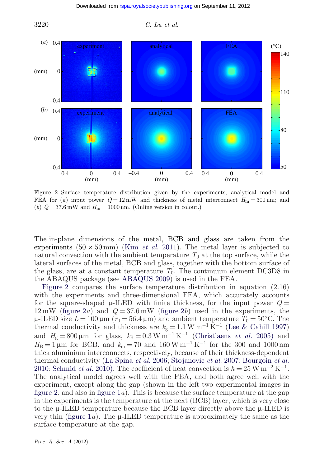3220 *C. Lu et al.*



Figure 2. Surface temperature distribution given by the experiments, analytical model and FEA for (*a*) input power  $Q = 12 \text{ mW}$  and thickness of metal interconnect  $H_m = 300 \text{ nm}$ ; and (*b*)  $Q = 37.6 \text{ mW}$  and  $H_m = 1000 \text{ nm}$ . (Online version in colour.)

The in-plane dimensions of the metal, BCB and glass are taken from the experiments  $(50 \times 50 \text{ mm})$  (Kim *et al.* 2011). The metal layer is subjected to natural convection with the ambient temperature  $T_0$  at the top surface, while the lateral surfaces of the metal, BCB and glass, together with the bottom surface of the glass, are at a constant temperature  $T_0$ . The continuum element DC3D8 in the ABAQUS package (see [ABAQUS 2009\)](#page-9-0) is used in the FEA.

Figure 2 compares the surface temperature distribution in equation (2.16) with the experiments and three-dimensional FEA, which accurately accounts for the square-shaped  $\mu$ -ILED with finite thickness, for the input power  $Q =$ 12 mW (figure 2*a*) and *Q* = 37.6 mW (figure 2*b*) used in the experiments, the  $\mu$ -ILED size  $L = 100 \,\mu\text{m}$  ( $r_0 = 56.4 \,\mu\text{m}$ ) and ambient temperature  $T_0 = 50$ °C. The thermal conductivity and thickness are  $k_g = 1.1 \,\mathrm{W m^{-1} \, \tilde{K}^{-1}}$  [\(Lee & Cahill 1997\)](#page-9-0) and  $H_{\rm g} = 800 \,\mu\text{m}$  for glass,  $k_{\rm B} = 0.3 \,\text{W m}^{-1} \,\text{K}^{-1}$  [\(Christiaens](#page-9-0) *et al.* 2005) and  $H_{\text{B}} = 1 \,\mu\text{m}$  for BCB, and  $k_{\text{m}} = 70$  and 160 W m<sup>-1</sup> K<sup>-1</sup> for the 300 and 1000 nm thick aluminium interconnects, respectively, because of their thickness-dependent thermal conductivity [\(La Spina](#page-9-0) *et al.* 2006; [Stojanovic](#page-9-0) *et al.* 2007; [Bourgoin](#page-9-0) *et al.* [2010;](#page-9-0) [Schmid](#page-9-0) *et al.* 2010). The coefficient of heat convection is  $h = 25 \,\mathrm{W m^{-2} K^{-1}}$ . The analytical model agrees well with the FEA, and both agree well with the experiment, except along the gap (shown in the left two experimental images in figure 2, and also in [figure 1](#page-3-0)*a*). This is because the surface temperature at the gap in the experiments is the temperature at the next (BCB) layer, which is very close to the  $\mu$ -ILED temperature because the BCB layer directly above the  $\mu$ -ILED is very thin (figure  $1a$ ). The  $\mu$ -ILED temperature is approximately the same as the surface temperature at the gap.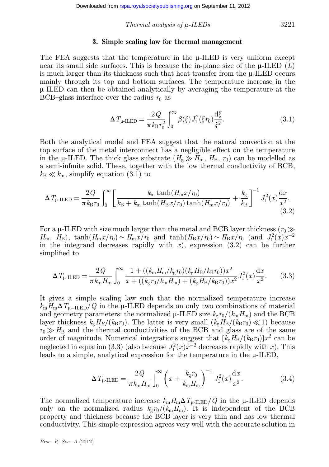*Thermal analysis of*  $\mu$ -*ILEDs* 3221

#### **3. Simple scaling law for thermal management**

The FEA suggests that the temperature in the  $\mu$ -ILED is very uniform except near its small side surfaces. This is because the in-plane size of the  $\mu$ -ILED (*L*) is much larger than its thickness such that heat transfer from the  $\mu$ -ILED occurs mainly through its top and bottom surfaces. The temperature increase in the m-ILED can then be obtained analytically by averaging the temperature at the BCB–glass interface over the radius  $r_0$  as

$$
\Delta T_{\mu\text{-ILED}} = \frac{2Q}{\pi k_{\text{B}} r_0^2} \int_0^\infty \beta(\xi) J_1^2(\xi r_0) \frac{\mathrm{d}\xi}{\xi^2}.
$$
 (3.1)

Both the analytical model and FEA suggest that the natural convection at the top surface of the metal interconnect has a negligible effect on the temperature in the  $\mu$ -ILED. The thick glass substrate  $(H_g \gg H_m, H_B, r_0)$  can be modelled as a semi-infinite solid. These, together with the low thermal conductivity of BCB,  $k_{\text{B}} \ll k_{\text{m}}$ , simplify equation (3.1) to

$$
\Delta T_{\mu\text{-LED}} = \frac{2Q}{\pi k_{\text{B}} r_0} \int_0^\infty \left[ \frac{k_{\text{m}} \tanh(H_{\text{m}} x/r_0)}{k_{\text{B}} + k_{\text{m}} \tanh(H_{\text{B}} x/r_0) \tanh(H_{\text{m}} x/r_0)} + \frac{k_{\text{g}}}{k_{\text{B}}} \right]^{-1} J_1^2(x) \frac{\mathrm{d}x}{x^2}.
$$
\n(3.2)

For a  $\mu$ -ILED with size much larger than the metal and BCB layer thickness ( $r_0 \gg$  $H_m$ ,  $H_B$ ), tanh $(H_m x/r_0) \sim H_m x/r_0$  and tanh $(H_B x/r_0) \sim H_B x/r_0$  (and  $J_1^2(x)x^{-2}$ ) in the integrand decreases rapidly with  $x$ ), expression  $(3.2)$  can be further simplified to

$$
\Delta T_{\mu\text{-LED}} = \frac{2Q}{\pi k_{\text{m}} H_{\text{m}}} \int_0^\infty \frac{1 + ((k_{\text{m}} H_{\text{m}} / k_{\text{g}} r_0)(k_{\text{g}} H_{\text{B}} / k_{\text{B}} r_0))x^2}{x + ((k_{\text{g}} r_0 / k_{\text{m}} H_{\text{m}}) + (k_{\text{g}} H_{\text{B}} / k_{\text{B}} r_0))x^2} J_1^2(x) \frac{\mathrm{d}x}{x^2}.
$$
(3.3)

It gives a simple scaling law such that the normalized temperature increase  $k_{\rm m}H_{\rm m}\Delta T_{\rm u-ILED}/Q$  in the  $\mu$ -ILED depends on only two combinations of material and geometry parameters: the normalized  $\mu$ -ILED size  $k_{g}r_{0}/(k_{\rm m}H_{\rm m})$  and the BCB layer thickness  $k_g H_B/(k_B r_0)$ . The latter is very small  $(k_g H_B/(k_B r_0) \ll 1)$  because  $r_0 \gg H_B$  and the thermal conductivities of the BCB and glass are of the same order of magnitude. Numerical integrations suggest that  $[k_{g}H_{B}/(k_{B}\eta_{0})]x^{2}$  can be neglected in equation (3.3) (also because  $J_1^2(x)x^{-2}$  decreases rapidly with *x*). This leads to a simple, analytical expression for the temperature in the  $\mu$ -ILED,

$$
\Delta T_{\mu\text{-ILED}} = \frac{2Q}{\pi k_{\text{m}} H_{\text{m}}} \int_0^\infty \left( x + \frac{k_{\text{g}} r_0}{k_{\text{m}} H_{\text{m}}} \right)^{-1} J_1^2(x) \frac{\mathrm{d}x}{x^2}.
$$
\n(3.4)

The normalized temperature increase  $k_m H_m \Delta T_{\mu\text{-ILED}}/Q$  in the  $\mu\text{-ILED}$  depends only on the normalized radius  $k_{\rm g}r_0/(k_{\rm m}H_{\rm m})$ . It is independent of the BCB property and thickness because the BCB layer is very thin and has low thermal conductivity. This simple expression agrees very well with the accurate solution in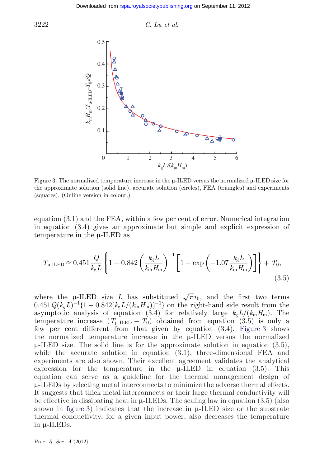



Figure 3. The normalized temperature increase in the  $\mu$ -ILED versus the normalized  $\mu$ -ILED size for the approximate solution (solid line), accurate solution (circles), FEA (triangles) and experiments (squares). (Online version in colour.)

equation (3.1) and the FEA, within a few per cent of error. Numerical integration in equation (3.4) gives an approximate but simple and explicit expression of temperature in the  $\mu$ -ILED as

$$
T_{\mu\text{-ILED}} \approx 0.451 \frac{Q}{k_{\text{g}}L} \left\{ 1 - 0.842 \left( \frac{k_{\text{g}}L}{k_{\text{m}}H_{\text{m}}} \right)^{-1} \left[ 1 - \exp \left( -1.07 \frac{k_{\text{g}}L}{k_{\text{m}}H_{\text{m}}} \right) \right] \right\} + T_0,
$$
\n(3.5)

where the µ-ILED size *L* has substituted  $\sqrt{\pi}r_0$ , and the first two terms  $0.451 Q(k_g L)^{-1} \{1 - 0.842[k_g L/(k_m H_m)]^{-1}\}$  on the right-hand side result from the asymptotic analysis of equation (3.4) for relatively large  $k_g L/(k_m H_m)$ . The temperature increase  $(T_{\text{u-LED}} - T_0)$  obtained from equation (3.5) is only a few per cent different from that given by equation (3.4). Figure 3 shows the normalized temperature increase in the  $\mu$ -ILED versus the normalized  $\mu$ -ILED size. The solid line is for the approximate solution in equation (3.5), while the accurate solution in equation  $(3.1)$ , three-dimensional FEA and experiments are also shown. Their excellent agreement validates the analytical expression for the temperature in the  $\mu$ -ILED in equation (3.5). This equation can serve as a guideline for the thermal management design of  $\mu$ -ILEDs by selecting metal interconnects to minimize the adverse thermal effects. It suggests that thick metal interconnects or their large thermal conductivity will be effective in dissipating heat in  $\mu$ -ILEDs. The scaling law in equation (3.5) (also shown in figure 3) indicates that the increase in  $\mu$ -ILED size or the substrate thermal conductivity, for a given input power, also decreases the temperature in  $\mu$ -ILEDs.